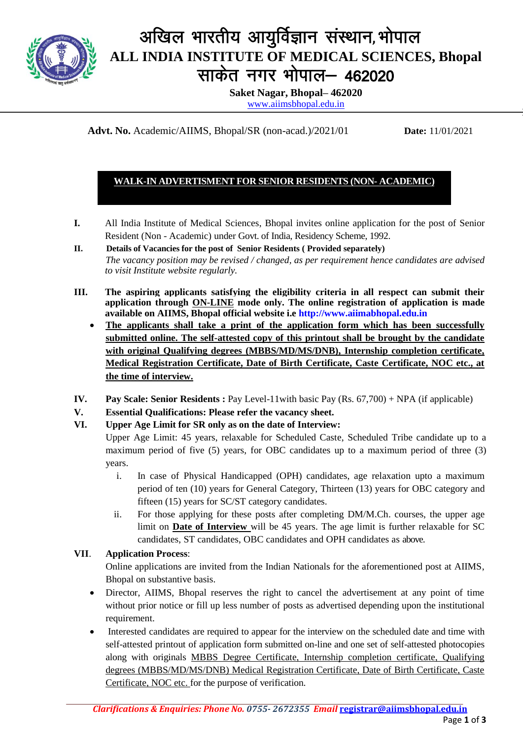

# अखिल भारतीय आयुर्विज्ञान संस्थान, भोपाल **ALL INDIA INSTITUTE OF MEDICAL SCIENCES, Bhopal** साकेत नगर भोपाल- 462020

**Saket Nagar, Bhopal– 462020**

[www.aiimsbhopal.edu.in](http://www.aiimsbhopal.edu.in/)

**Advt. No.** Academic/AIIMS, Bhopal/SR (non-acad.)/2021/01 **Date:** 11/01/2021

## **WALK-IN ADVERTISMENT FOR SENIOR RESIDENTS (NON- ACADEMIC)**

- **I.** All India Institute of Medical Sciences, Bhopal invites online application for the post of Senior Resident (Non - Academic) under Govt. of India, Residency Scheme, 1992.
- **II. Details of Vacancies for the post of Senior Residents ( Provided separately)**  *The vacancy position may be revised / changed, as per requirement hence candidates are advised to visit Institute website regularly.*
- **III. The aspiring applicants satisfying the eligibility criteria in all respect can submit their application through ON-LINE mode only. The online registration of application is made available on AIIMS, Bhopal official website i.e [http://www.aiimabhopal.edu.in](http://www.aiimabhopal.edu.in/)**
	- **The applicants shall take a print of the application form which has been successfully submitted online. The self-attested copy of this printout shall be brought by the candidate with original Qualifying degrees (MBBS/MD/MS/DNB), Internship completion certificate, Medical Registration Certificate, Date of Birth Certificate, Caste Certificate, NOC etc., at the time of interview.**
- **IV. Pay Scale: Senior Residents :** Pay Level-11with basic Pay (Rs. 67,700) + NPA (if applicable)
- **V. Essential Qualifications: Please refer the vacancy sheet.**
- **VI. Upper Age Limit for SR only as on the date of Interview:**

Upper Age Limit: 45 years, relaxable for Scheduled Caste, Scheduled Tribe candidate up to a maximum period of five (5) years, for OBC candidates up to a maximum period of three (3) years.

- i. In case of Physical Handicapped (OPH) candidates, age relaxation upto a maximum period of ten (10) years for General Category, Thirteen (13) years for OBC category and fifteen (15) years for SC/ST category candidates.
- ii. For those applying for these posts after completing DM/M.Ch. courses, the upper age limit on **Date of Interview** will be 45 years. The age limit is further relaxable for SC candidates, ST candidates, OBC candidates and OPH candidates as above.

## **VII**. **Application Process**:

Online applications are invited from the Indian Nationals for the aforementioned post at AIIMS, Bhopal on substantive basis.

- Director, AIIMS, Bhopal reserves the right to cancel the advertisement at any point of time without prior notice or fill up less number of posts as advertised depending upon the institutional requirement.
- Interested candidates are required to appear for the interview on the scheduled date and time with self-attested printout of application form submitted on-line and one set of self-attested photocopies along with originals MBBS Degree Certificate, Internship completion certificate, Qualifying degrees (MBBS/MD/MS/DNB) Medical Registration Certificate, Date of Birth Certificate, Caste Certificate, NOC etc. for the purpose of verification.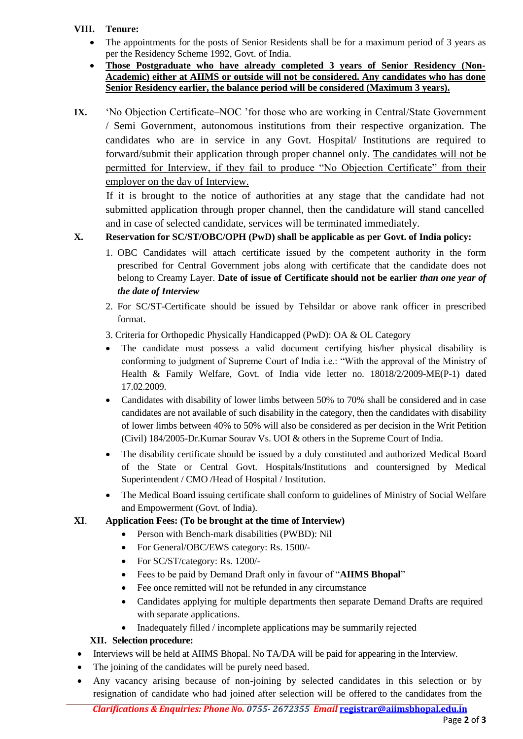### **VIII. Tenure:**

- The appointments for the posts of Senior Residents shall be for a maximum period of 3 years as per the Residency Scheme 1992, Govt. of India.
- **Those Postgraduate who have already completed 3 years of Senior Residency (Non-Academic) either at AIIMS or outside will not be considered. Any candidates who has done Senior Residency earlier, the balance period will be considered (Maximum 3 years).**
- **IX.** 'No Objection Certificate–NOC 'for those who are working in Central/State Government / Semi Government, autonomous institutions from their respective organization. The candidates who are in service in any Govt. Hospital/ Institutions are required to forward/submit their application through proper channel only. The candidates will not be permitted for Interview, if they fail to produce "No Objection Certificate" from their employer on the day of Interview.

If it is brought to the notice of authorities at any stage that the candidate had not submitted application through proper channel, then the candidature will stand cancelled and in case of selected candidate, services will be terminated immediately.

# **X. Reservation for SC/ST/OBC/OPH (PwD) shall be applicable as per Govt. of India policy:**

- 1. OBC Candidates will attach certificate issued by the competent authority in the form prescribed for Central Government jobs along with certificate that the candidate does not belong to Creamy Layer. **Date of issue of Certificate should not be earlier** *than one year of the date of Interview*
- 2. For SC/ST-Certificate should be issued by Tehsildar or above rank officer in prescribed format.
- 3. Criteria for Orthopedic Physically Handicapped (PwD): OA & OL Category
- The candidate must possess a valid document certifying his/her physical disability is conforming to judgment of Supreme Court of India i.e.: "With the approval of the Ministry of Health & Family Welfare, Govt. of India vide letter no. 18018/2/2009-ME(P-1) dated 17.02.2009.
- Candidates with disability of lower limbs between 50% to 70% shall be considered and in case candidates are not available of such disability in the category, then the candidates with disability of lower limbs between 40% to 50% will also be considered as per decision in the Writ Petition (Civil) 184/2005-Dr.Kumar Sourav Vs. UOI & others in the Supreme Court of India.
- The disability certificate should be issued by a duly constituted and authorized Medical Board of the State or Central Govt. Hospitals/Institutions and countersigned by Medical Superintendent / CMO /Head of Hospital / Institution.
- The Medical Board issuing certificate shall conform to guidelines of Ministry of Social Welfare and Empowerment (Govt. of India).

## **XI**. **Application Fees: (To be brought at the time of Interview)**

- Person with Bench-mark disabilities (PWBD): Nil
- For General/OBC/EWS category: Rs. 1500/-
- For SC/ST/category: Rs. 1200/-
- Fees to be paid by Demand Draft only in favour of "**AIIMS Bhopal**"
- Fee once remitted will not be refunded in any circumstance
- Candidates applying for multiple departments then separate Demand Drafts are required with separate applications.
- Inadequately filled / incomplete applications may be summarily rejected

## **XII. Selection procedure:**

- Interviews will be held at AIIMS Bhopal. No TA/DA will be paid for appearing in the Interview.
- The joining of the candidates will be purely need based.
- Any vacancy arising because of non-joining by selected candidates in this selection or by resignation of candidate who had joined after selection will be offered to the candidates from the